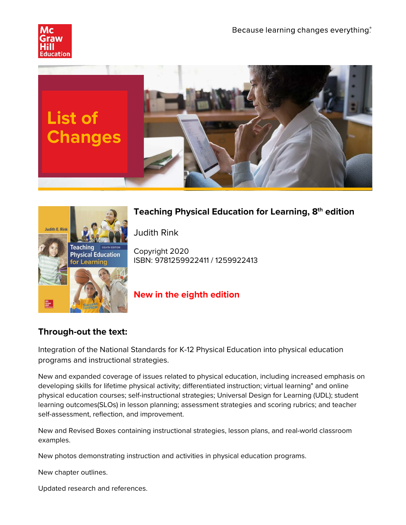





# **Teaching Physical Education for Learning, 8th edition**

Judith Rink

Copyright 2020 ISBN: 9781259922411 / 1259922413

## **New in the eighth edition**

## **Through-out the text:**

Integration of the National Standards for K-12 Physical Education into physical education programs and instructional strategies.

New and expanded coverage of issues related to physical education, including increased emphasis on developing skills for lifetime physical activity; differentiated instruction; virtual learning" and online physical education courses; self-instructional strategies; Universal Design for Learning (UDL); student learning outcomes(SLOs) in lesson planning; assessment strategies and scoring rubrics; and teacher self-assessment, reflection, and improvement.

New and Revised Boxes containing instructional strategies, lesson plans, and real-world classroom examples.

New photos demonstrating instruction and activities in physical education programs.

New chapter outlines.

Updated research and references.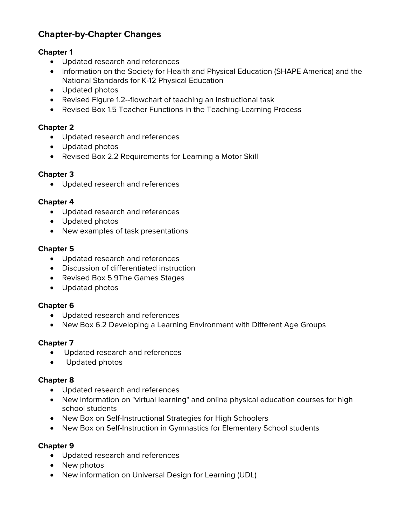## **Chapter-by-Chapter Changes**

## **Chapter 1**

- Updated research and references
- Information on the Society for Health and Physical Education (SHAPE America) and the National Standards for K-12 Physical Education
- Updated photos
- Revised Figure 1.2--flowchart of teaching an instructional task
- Revised Box 1.5 Teacher Functions in the Teaching-Learning Process

## **Chapter 2**

- Updated research and references
- Updated photos
- Revised Box 2.2 Requirements for Learning a Motor Skill

### **Chapter 3**

• Updated research and references

#### **Chapter 4**

- Updated research and references
- Updated photos
- New examples of task presentations

#### **Chapter 5**

- Updated research and references
- Discussion of differentiated instruction
- Revised Box 5.9The Games Stages
- Updated photos

#### **Chapter 6**

- Updated research and references
- New Box 6.2 Developing a Learning Environment with Different Age Groups

#### **Chapter 7**

- Updated research and references
- Updated photos

#### **Chapter 8**

- Updated research and references
- New information on "virtual learning" and online physical education courses for high school students
- New Box on Self-Instructional Strategies for High Schoolers
- New Box on Self-Instruction in Gymnastics for Elementary School students

#### **Chapter 9**

- Updated research and references
- New photos
- New information on Universal Design for Learning (UDL)